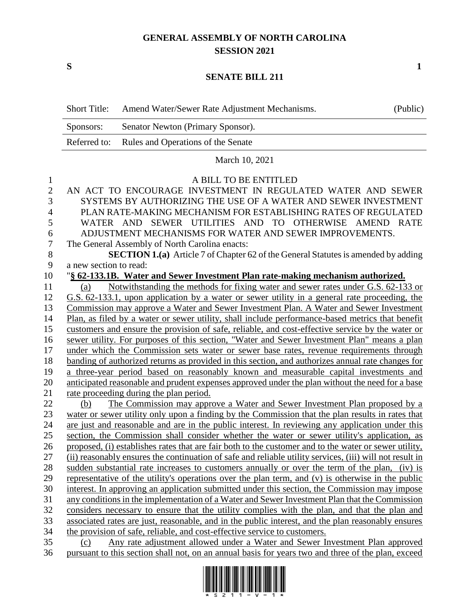## **GENERAL ASSEMBLY OF NORTH CAROLINA SESSION 2021**

**S 1**

## **SENATE BILL 211**

|                | <b>Short Title:</b>    | Amend Water/Sewer Rate Adjustment Mechanisms.                                                                                                                                                                     | (Public) |
|----------------|------------------------|-------------------------------------------------------------------------------------------------------------------------------------------------------------------------------------------------------------------|----------|
|                | Sponsors:              | Senator Newton (Primary Sponsor).                                                                                                                                                                                 |          |
|                | Referred to:           | Rules and Operations of the Senate                                                                                                                                                                                |          |
|                |                        | March 10, 2021                                                                                                                                                                                                    |          |
| $\mathbf{1}$   |                        | A BILL TO BE ENTITLED                                                                                                                                                                                             |          |
| $\overline{c}$ |                        | AN ACT TO ENCOURAGE INVESTMENT IN REGULATED WATER AND SEWER                                                                                                                                                       |          |
| 3              |                        | SYSTEMS BY AUTHORIZING THE USE OF A WATER AND SEWER INVESTMENT                                                                                                                                                    |          |
| $\overline{4}$ |                        | PLAN RATE-MAKING MECHANISM FOR ESTABLISHING RATES OF REGULATED                                                                                                                                                    |          |
| 5              |                        | WATER AND SEWER UTILITIES AND TO OTHERWISE AMEND RATE                                                                                                                                                             |          |
| 6              |                        | ADJUSTMENT MECHANISMS FOR WATER AND SEWER IMPROVEMENTS.                                                                                                                                                           |          |
| $\overline{7}$ |                        | The General Assembly of North Carolina enacts:                                                                                                                                                                    |          |
| $\, 8$         |                        | SECTION 1.(a) Article 7 of Chapter 62 of the General Statutes is amended by adding                                                                                                                                |          |
| 9              | a new section to read: |                                                                                                                                                                                                                   |          |
| 10             |                        | "§ 62-133.1B. Water and Sewer Investment Plan rate-making mechanism authorized.                                                                                                                                   |          |
| 11             | (a)                    | Notwithstanding the methods for fixing water and sewer rates under G.S. 62-133 or                                                                                                                                 |          |
| 12             |                        | G.S. 62-133.1, upon application by a water or sewer utility in a general rate proceeding, the                                                                                                                     |          |
| 13             |                        | Commission may approve a Water and Sewer Investment Plan. A Water and Sewer Investment                                                                                                                            |          |
| 14             |                        | Plan, as filed by a water or sewer utility, shall include performance-based metrics that benefit                                                                                                                  |          |
| 15             |                        | customers and ensure the provision of safe, reliable, and cost-effective service by the water or                                                                                                                  |          |
| 16             |                        | sewer utility. For purposes of this section, "Water and Sewer Investment Plan" means a plan                                                                                                                       |          |
| 17             |                        | under which the Commission sets water or sewer base rates, revenue requirements through                                                                                                                           |          |
| 18             |                        | banding of authorized returns as provided in this section, and authorizes annual rate changes for                                                                                                                 |          |
| 19             |                        | a three-year period based on reasonably known and measurable capital investments and                                                                                                                              |          |
| 20             |                        | anticipated reasonable and prudent expenses approved under the plan without the need for a base                                                                                                                   |          |
| 21             |                        | rate proceeding during the plan period.                                                                                                                                                                           |          |
| 22             | (b)                    | The Commission may approve a Water and Sewer Investment Plan proposed by a                                                                                                                                        |          |
| 23             |                        | water or sewer utility only upon a finding by the Commission that the plan results in rates that                                                                                                                  |          |
| 24             |                        | are just and reasonable and are in the public interest. In reviewing any application under this                                                                                                                   |          |
| 25<br>26       |                        | section, the Commission shall consider whether the water or sewer utility's application, as                                                                                                                       |          |
| 27             |                        | proposed, (i) establishes rates that are fair both to the customer and to the water or sewer utility,<br>(ii) reasonably ensures the continuation of safe and reliable utility services, (iii) will not result in |          |
| 28             |                        | sudden substantial rate increases to customers annually or over the term of the plan, (iv) is                                                                                                                     |          |
| 29             |                        | representative of the utility's operations over the plan term, and (v) is otherwise in the public                                                                                                                 |          |
| 30             |                        | interest. In approving an application submitted under this section, the Commission may impose                                                                                                                     |          |
| 31             |                        | any conditions in the implementation of a Water and Sewer Investment Plan that the Commission                                                                                                                     |          |
| 32             |                        | considers necessary to ensure that the utility complies with the plan, and that the plan and                                                                                                                      |          |
| 33             |                        | associated rates are just, reasonable, and in the public interest, and the plan reasonably ensures                                                                                                                |          |
| 34             |                        | the provision of safe, reliable, and cost-effective service to customers.                                                                                                                                         |          |
| 35             | (c)                    | Any rate adjustment allowed under a Water and Sewer Investment Plan approved                                                                                                                                      |          |
| 36             |                        | pursuant to this section shall not, on an annual basis for years two and three of the plan, exceed                                                                                                                |          |

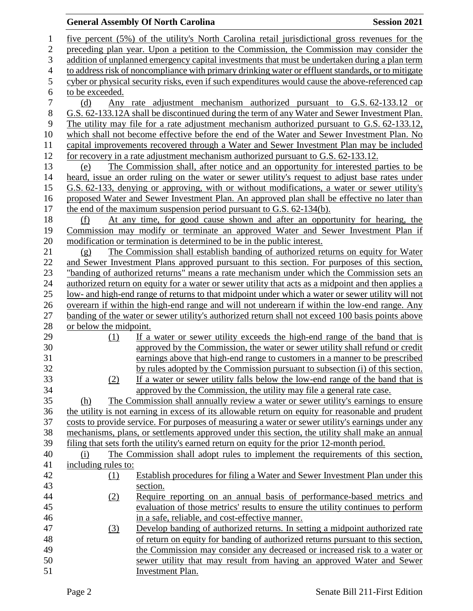## **General Assembly Of North Carolina Session 2021**

 five percent (5%) of the utility's North Carolina retail jurisdictional gross revenues for the preceding plan year. Upon a petition to the Commission, the Commission may consider the addition of unplanned emergency capital investments that must be undertaken during a plan term to address risk of noncompliance with primary drinking water or effluent standards, or to mitigate cyber or physical security risks, even if such expenditures would cause the above-referenced cap to be exceeded. (d) Any rate adjustment mechanism authorized pursuant to G.S. 62-133.12 or G.S. 62-133.12A shall be discontinued during the term of any Water and Sewer Investment Plan. The utility may file for a rate adjustment mechanism authorized pursuant to G.S. 62-133.12, which shall not become effective before the end of the Water and Sewer Investment Plan. No capital improvements recovered through a Water and Sewer Investment Plan may be included for recovery in a rate adjustment mechanism authorized pursuant to G.S. 62-133.12. (e) The Commission shall, after notice and an opportunity for interested parties to be heard, issue an order ruling on the water or sewer utility's request to adjust base rates under G.S. 62-133, denying or approving, with or without modifications, a water or sewer utility's proposed Water and Sewer Investment Plan. An approved plan shall be effective no later than the end of the maximum suspension period pursuant to G.S. 62-134(b). (f) At any time, for good cause shown and after an opportunity for hearing, the Commission may modify or terminate an approved Water and Sewer Investment Plan if modification or termination is determined to be in the public interest. (g) The Commission shall establish banding of authorized returns on equity for Water and Sewer Investment Plans approved pursuant to this section. For purposes of this section, "banding of authorized returns" means a rate mechanism under which the Commission sets an authorized return on equity for a water or sewer utility that acts as a midpoint and then applies a low- and high-end range of returns to that midpoint under which a water or sewer utility will not overearn if within the high-end range and will not underearn if within the low-end range. Any banding of the water or sewer utility's authorized return shall not exceed 100 basis points above or below the midpoint. (1) If a water or sewer utility exceeds the high-end range of the band that is approved by the Commission, the water or sewer utility shall refund or credit earnings above that high-end range to customers in a manner to be prescribed by rules adopted by the Commission pursuant to subsection (i) of this section. (2) If a water or sewer utility falls below the low-end range of the band that is approved by the Commission, the utility may file a general rate case. (h) The Commission shall annually review a water or sewer utility's earnings to ensure the utility is not earning in excess of its allowable return on equity for reasonable and prudent costs to provide service. For purposes of measuring a water or sewer utility's earnings under any mechanisms, plans, or settlements approved under this section, the utility shall make an annual filing that sets forth the utility's earned return on equity for the prior 12-month period. (i) The Commission shall adopt rules to implement the requirements of this section, including rules to: (1) Establish procedures for filing a Water and Sewer Investment Plan under this section. (2) Require reporting on an annual basis of performance-based metrics and evaluation of those metrics' results to ensure the utility continues to perform in a safe, reliable, and cost-effective manner. (3) Develop banding of authorized returns. In setting a midpoint authorized rate of return on equity for banding of authorized returns pursuant to this section, the Commission may consider any decreased or increased risk to a water or sewer utility that may result from having an approved Water and Sewer Investment Plan.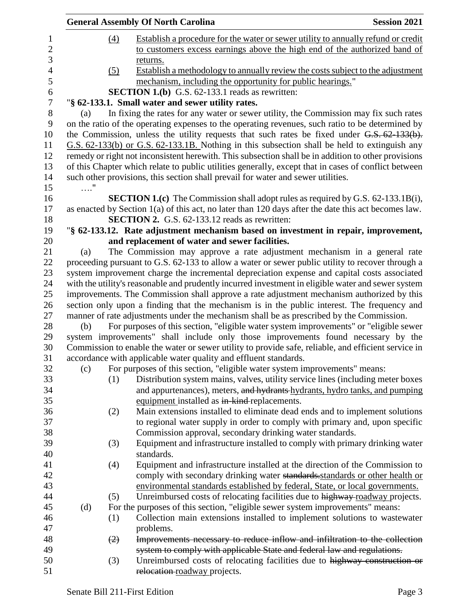|            | <b>General Assembly Of North Carolina</b>                                                                                                     | <b>Session 2021</b> |
|------------|-----------------------------------------------------------------------------------------------------------------------------------------------|---------------------|
| (4)        | Establish a procedure for the water or sewer utility to annually refund or credit                                                             |                     |
|            | to customers excess earnings above the high end of the authorized band of                                                                     |                     |
|            | returns.                                                                                                                                      |                     |
| (5)        | Establish a methodology to annually review the costs subject to the adjustment                                                                |                     |
|            | mechanism, including the opportunity for public hearings."                                                                                    |                     |
|            | <b>SECTION 1.(b)</b> G.S. 62-133.1 reads as rewritten:                                                                                        |                     |
|            | "§ 62-133.1. Small water and sewer utility rates.                                                                                             |                     |
| (a)        | In fixing the rates for any water or sewer utility, the Commission may fix such rates                                                         |                     |
|            | on the ratio of the operating expenses to the operating revenues, such ratio to be determined by                                              |                     |
|            | the Commission, unless the utility requests that such rates be fixed under $G.S. 62-133(b)$ .                                                 |                     |
|            | G.S. 62-133(b) or G.S. 62-133.1B. Nothing in this subsection shall be held to extinguish any                                                  |                     |
|            | remedy or right not inconsistent herewith. This subsection shall be in addition to other provisions                                           |                     |
|            | of this Chapter which relate to public utilities generally, except that in cases of conflict between                                          |                     |
|            | such other provisions, this section shall prevail for water and sewer utilities.                                                              |                     |
| $\ldots$ " |                                                                                                                                               |                     |
|            | <b>SECTION 1.(c)</b> The Commission shall adopt rules as required by G.S. 62-133.1B(i),                                                       |                     |
|            | as enacted by Section 1(a) of this act, no later than 120 days after the date this act becomes law.                                           |                     |
|            | <b>SECTION 2.</b> G.S. 62-133.12 reads as rewritten:                                                                                          |                     |
|            | "§ 62-133.12. Rate adjustment mechanism based on investment in repair, improvement,                                                           |                     |
|            | and replacement of water and sewer facilities.                                                                                                |                     |
| (a)        | The Commission may approve a rate adjustment mechanism in a general rate                                                                      |                     |
|            | proceeding pursuant to G.S. 62-133 to allow a water or sewer public utility to recover through a                                              |                     |
|            | system improvement charge the incremental depreciation expense and capital costs associated                                                   |                     |
|            | with the utility's reasonable and prudently incurred investment in eligible water and sewer system                                            |                     |
|            | improvements. The Commission shall approve a rate adjustment mechanism authorized by this                                                     |                     |
|            | section only upon a finding that the mechanism is in the public interest. The frequency and                                                   |                     |
|            | manner of rate adjustments under the mechanism shall be as prescribed by the Commission.                                                      |                     |
| (b)        | For purposes of this section, "eligible water system improvements" or "eligible sewer"                                                        |                     |
|            | system improvements" shall include only those improvements found necessary by the                                                             |                     |
|            | Commission to enable the water or sewer utility to provide safe, reliable, and efficient service in                                           |                     |
| (c)        | accordance with applicable water quality and effluent standards.<br>For purposes of this section, "eligible water system improvements" means: |                     |
| (1)        | Distribution system mains, valves, utility service lines (including meter boxes                                                               |                     |
|            | and appurtenances), meters, and hydrants-hydrants, hydro tanks, and pumping                                                                   |                     |
|            | equipment installed as in-kind-replacements.                                                                                                  |                     |
| (2)        | Main extensions installed to eliminate dead ends and to implement solutions                                                                   |                     |
|            | to regional water supply in order to comply with primary and, upon specific                                                                   |                     |
|            | Commission approval, secondary drinking water standards.                                                                                      |                     |
| (3)        | Equipment and infrastructure installed to comply with primary drinking water                                                                  |                     |
|            | standards.                                                                                                                                    |                     |
| (4)        | Equipment and infrastructure installed at the direction of the Commission to                                                                  |                     |
|            | comply with secondary drinking water standards standards or other health or                                                                   |                     |
|            | environmental standards established by federal, State, or local governments.                                                                  |                     |
| (5)        | Unreimbursed costs of relocating facilities due to highway roadway projects.                                                                  |                     |
| (d)        | For the purposes of this section, "eligible sewer system improvements" means:                                                                 |                     |
| (1)        | Collection main extensions installed to implement solutions to wastewater                                                                     |                     |
|            | problems.                                                                                                                                     |                     |
| (2)        | Improvements necessary to reduce inflow and infiltration to the collection                                                                    |                     |
|            | system to comply with applicable State and federal law and regulations.                                                                       |                     |
| (3)        | Unreimbursed costs of relocating facilities due to highway construction or                                                                    |                     |
|            | relocation roadway projects.                                                                                                                  |                     |